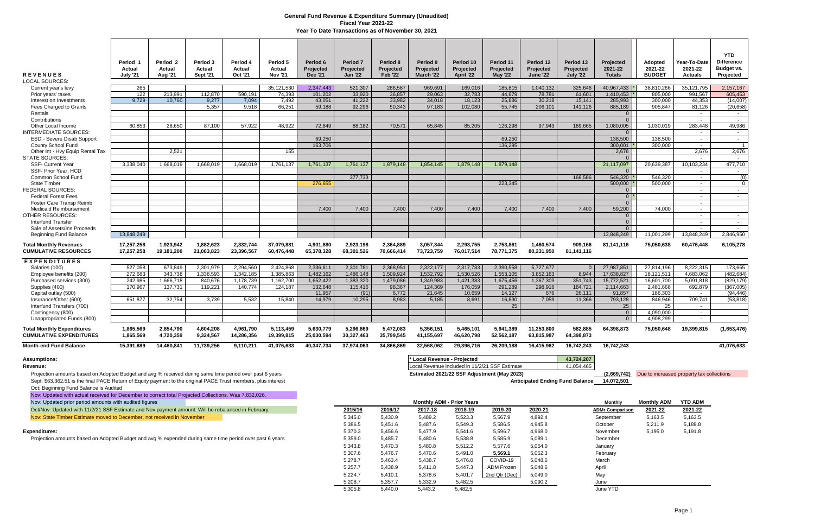Projection amounts based on Adopted Budget and avg % received during same time period over past 6 years **and accuration amount and and and and accuration** and and the original PACE Trust members, plus interest and the orig Sept: \$63,362.51 is the final PACE Return of Equity payment to the original PACE Trust members, plus interest Oct: Beginning Fund Balance is Audited

| <b>REVENUES</b><br><b>LOCAL SOURCES:</b>                            | Period <sub>1</sub><br>Actual<br><b>July '21</b> | Period <sub>2</sub><br>Actual<br><b>Aug '21</b> | Period 3<br>Actual<br><b>Sept '21</b> | Period 4<br>Actual<br><b>Oct '21</b> | Period 5<br>Actual<br><b>Nov '21</b> | Period 6<br><b>Projected</b><br><b>Dec '21</b> | <b>Period 7</b><br>Projected<br><b>Jan '22</b> | Period 8<br>Projected<br><b>Feb '22</b> | Period 9<br><b>Projected</b><br>March '22 | Period 10<br>Projected<br>April '22 | Period 11<br>Projected<br><b>May '22</b> | Period 12<br>Projected<br><b>June '22</b> | Period 13<br>Projected<br><b>July '22</b> | Projected<br>2021-22<br><b>Totals</b> | Adopted<br>2021-22<br><b>BUDGET</b> | Year-To-Date<br>2021-22<br><b>Actuals</b> | <b>YTD</b><br><b>Difference</b><br>Budget vs.<br>Projected |
|---------------------------------------------------------------------|--------------------------------------------------|-------------------------------------------------|---------------------------------------|--------------------------------------|--------------------------------------|------------------------------------------------|------------------------------------------------|-----------------------------------------|-------------------------------------------|-------------------------------------|------------------------------------------|-------------------------------------------|-------------------------------------------|---------------------------------------|-------------------------------------|-------------------------------------------|------------------------------------------------------------|
| Current year's levy                                                 | 265                                              |                                                 |                                       |                                      | 35,121,530                           | 2,347,443                                      | 521,307                                        | 286,587                                 | 969,691                                   | 169,016                             | 185,815                                  | 1,040,132                                 | 325,646                                   | 40,967,433                            | 38,810,266                          | 35,121,795                                | 2,157,167                                                  |
| Prior years' taxes                                                  | 122                                              | 213,991                                         | 112,870                               | 590,191                              | 74,393                               | 101,202                                        | 33,920                                         | 36,857                                  | 29,063                                    | 32,783                              | 44,679                                   | 78,781                                    | 61,601                                    | 1,410,453                             | 805,000                             | 991,567                                   | 605,453                                                    |
| Interest on Investments                                             | 9,729                                            | 10.760                                          | 9,277                                 | 7,094                                | 7,492                                | 43,051                                         | 41,222                                         | 33,982                                  | 34,018                                    | 18,123                              | 25,886                                   | 30.218                                    | 15,141                                    | 285,993                               | 300.000                             | 44.353                                    | (14,007)                                                   |
| Fees Charged to Grants                                              |                                                  |                                                 | 5.357                                 | 9.518                                | 66,251                               | 59,188                                         | 92.296                                         | 50,343                                  | 97,183                                    | 102,080                             | 55,745                                   | 206,101                                   | 141,126                                   | 885,189                               | 905,847                             | 81.126                                    | (20, 658)                                                  |
| Rentals                                                             |                                                  |                                                 |                                       |                                      |                                      |                                                |                                                |                                         |                                           |                                     |                                          |                                           |                                           | 0 <sup>1</sup>                        |                                     | $\sim$                                    | $\sim$                                                     |
| Contributions                                                       |                                                  |                                                 |                                       |                                      |                                      |                                                |                                                |                                         |                                           |                                     |                                          |                                           |                                           | 0 <sup>1</sup>                        |                                     | $\sim$                                    | $\sim$                                                     |
| Other Local Income                                                  | 60.853                                           | 28.650                                          | 87,100                                | 57,922                               | 48.922                               | 72.849                                         | 88,182                                         | 70,571                                  | 65,845                                    | 85,205                              | 126.298                                  | 97.943                                    | 189,665                                   | 1,080,005                             | 1,030,019                           | 283,448                                   | 49,986                                                     |
| <b>INTERMEDIATE SOURCES:</b>                                        |                                                  |                                                 |                                       |                                      |                                      |                                                |                                                |                                         |                                           |                                     |                                          |                                           |                                           | 0 <sup>1</sup>                        |                                     | $\sim$                                    | $\sim$                                                     |
| <b>ESD - Severe Disab Support</b>                                   |                                                  |                                                 |                                       |                                      |                                      | 69.250                                         |                                                |                                         |                                           |                                     | 69,250                                   |                                           |                                           | 138,500                               | 138.500                             | $\sim$                                    | $\sim$ $-$                                                 |
| County School Fund                                                  |                                                  |                                                 |                                       |                                      |                                      | 163,706                                        |                                                |                                         |                                           |                                     | 136,295                                  |                                           |                                           | 300,001                               | 300.000                             | $\sim$                                    | $\overline{1}$                                             |
| Other Int - Hvy Equip Rental Tax                                    |                                                  | 2,521                                           |                                       |                                      | 155                                  |                                                |                                                |                                         |                                           |                                     |                                          |                                           |                                           | 2,676                                 |                                     | 2,676                                     | 2,676                                                      |
| <b>STATE SOURCES:</b>                                               |                                                  |                                                 |                                       |                                      |                                      |                                                |                                                |                                         |                                           |                                     |                                          |                                           |                                           | 0 <sup>1</sup>                        |                                     | $\sim$                                    | $\sim$                                                     |
| <b>SSF- Current Year</b>                                            | 3.338.040                                        | 1.668.019                                       | 1.668.019                             | 1.668.019                            | 1,761,137                            | 1,761,137                                      | 1.761.137                                      | 1.879.148                               | 1,854,145                                 | 1.879.148                           | 1.879.148                                |                                           |                                           | 21,117,097                            | 20,639,387                          | 10,103,234                                | 477,710                                                    |
| SSF- Prior Year, HCD<br>Common School Fund                          |                                                  |                                                 |                                       |                                      |                                      |                                                | 377.733                                        |                                         |                                           |                                     |                                          |                                           | 168,586                                   | $\overline{0}$<br>546,320             | 546.320                             | $\sim$<br>$\sim$                          | $\sim$<br>(0)                                              |
| <b>State Timber</b>                                                 |                                                  |                                                 |                                       |                                      |                                      | 276,655                                        |                                                |                                         |                                           |                                     | 223.345                                  |                                           |                                           | $500.000$ $\mid$                      | 500.000                             | $\sim$                                    | $\circ$                                                    |
| <b>FEDERAL SOURCES:</b>                                             |                                                  |                                                 |                                       |                                      |                                      |                                                |                                                |                                         |                                           |                                     |                                          |                                           |                                           | 0 <sup>1</sup>                        |                                     | $\sim$                                    | $\sim$                                                     |
| <b>Federal Forest Fees</b>                                          |                                                  |                                                 |                                       |                                      |                                      |                                                |                                                |                                         |                                           |                                     |                                          |                                           |                                           | $0^*$                                 |                                     | $\sim$                                    | $\sim$                                                     |
| Foster Care Transp Reimb                                            |                                                  |                                                 |                                       |                                      |                                      |                                                |                                                |                                         |                                           |                                     |                                          |                                           |                                           | 0 <sup>1</sup>                        |                                     | $\sim$ $-$                                |                                                            |
| Medicaid Reimbursement                                              |                                                  |                                                 |                                       |                                      |                                      | 7.400                                          | 7,400                                          | 7,400                                   | 7,400                                     | 7,400                               | 7,400                                    | 7,400                                     | 7,400                                     | 59,200                                | 74.000                              | $\sim$                                    |                                                            |
| <b>OTHER RESOURCES:</b>                                             |                                                  |                                                 |                                       |                                      |                                      |                                                |                                                |                                         |                                           |                                     |                                          |                                           |                                           | 0 <sup>1</sup>                        |                                     | $\sim$                                    | $\sim$                                                     |
| <b>Interfund Transfer</b>                                           |                                                  |                                                 |                                       |                                      |                                      |                                                |                                                |                                         |                                           |                                     |                                          |                                           |                                           | 0 <sup>1</sup>                        |                                     | $\sim$                                    | $\sim$                                                     |
| Sale of Assets/Ins Proceeds                                         |                                                  |                                                 |                                       |                                      |                                      |                                                |                                                |                                         |                                           |                                     |                                          |                                           |                                           | 0 <sup>1</sup>                        |                                     |                                           | $\sim$                                                     |
| <b>Beginning Fund Balance</b>                                       | 13,848,249                                       |                                                 |                                       |                                      |                                      |                                                |                                                |                                         |                                           |                                     |                                          |                                           |                                           | 13,848,249                            | 11,001,299                          | 13,848,249                                | 2,846,950                                                  |
| <b>Total Monthly Revenues</b><br><b>CUMULATIVE RESOURCES</b>        | 17,257,258<br>17,257,258                         | 1,923,942<br>19,181,200                         | 1,882,623<br>21,063,823               | 2,332,744<br>23,396,567              | 37.079.881<br>60,476,448             | 4,901,880<br>65,378,328                        | 2,923,198<br>68,301,526                        | 2,364,889<br>70,666,414                 | 3,057,344<br>73,723,759                   | 2,293,755<br>76,017,514             | 2,753,861<br>78,771,375                  | 1,460,574<br>80,231,950                   | 909.166<br>81,141,116                     | 81,141,116                            | 75,050,638                          | 60,476,448                                | 6,105,278                                                  |
| <b>EXPENDITURES</b>                                                 |                                                  |                                                 |                                       |                                      |                                      |                                                |                                                |                                         |                                           |                                     |                                          |                                           |                                           |                                       |                                     |                                           |                                                            |
| Salaries (100)                                                      | 527.058                                          | 673.849                                         | 2.301.979                             | 2.294.560                            | 2.424.868                            | 2.336.611                                      | 2,301,781                                      | 2,368,951                               | 2,322,177                                 | 2,317,783                           | 2,390,558                                | 5,727,677                                 | $\overline{0}$                            | 27,987,851                            | 27,814,196                          | 8.222.315                                 | 173,655                                                    |
| Employee benefits (200)                                             | 272.683                                          | 343.738                                         | 1.338.593                             | 1.342.185                            | 1.385.863                            | 1.482.162                                      | 1.486.148                                      | 1.509.924                               | 1.532.792                                 | 1.530.526                           | 1.553.105                                | 3.852.163                                 | 8.944                                     | 17.638.827                            | 18.121.511                          | 4.683.062                                 | (482, 684)                                                 |
| Purchased services (300)                                            | 242,985                                          | 1,666,718                                       | 840,676                               | 1,178,739                            | 1,162,700                            | 1,652,422                                      | 1,383,320                                      | 1,479,086                               | 1,349,983                                 | 1,421,383                           | 1,675,456                                | 1,367,309                                 | 351,743                                   | 15,772,521                            | 16,601,700                          | 5,091,818                                 | (829, 179)                                                 |
| Supplies (400)                                                      | 170.967                                          | 137.731                                         | 119.221                               | 140.774                              | 124.187                              | 132.648                                        | 115.416                                        | 98,367                                  | 124,369                                   | 176,059                             | 291,289                                  | 298,916                                   | 184,721                                   | 2,114,663                             | 2,481,668                           | 692.879                                   | (367,005)                                                  |
| Capital outlay (500)                                                |                                                  |                                                 |                                       |                                      |                                      | 11.957                                         | (91)                                           | 6,772                                   | 21,645                                    | 10,659                              | 14.127                                   | 676                                       | 26,111                                    | 91,857                                | 186.303                             | $\sim$                                    | (94, 446)                                                  |
| Insurance/Other (600)                                               | 651.877                                          | 32.754                                          | 3.739                                 | 5.532                                | 15.840                               | 14.979                                         | 10.295                                         | 8.983                                   | 5.185                                     | 8.691                               | 16,830                                   | 7.059                                     | 11.366                                    | 793,128                               | 846.946                             | 709.741                                   | (53.818)                                                   |
| Interfund Transfers (700)                                           |                                                  |                                                 |                                       |                                      |                                      |                                                |                                                |                                         |                                           |                                     | 25                                       |                                           |                                           | 25                                    | 25                                  | $\sim$                                    |                                                            |
| Contingency (800)<br>Unappropriated Funds (800)                     |                                                  |                                                 |                                       |                                      |                                      |                                                |                                                |                                         |                                           |                                     |                                          |                                           |                                           | $\overline{0}$<br>$\overline{0}$      | 4.090.000<br>4.908.299              | $\sim$<br>$\sim$                          |                                                            |
| <b>Total Monthly Expenditures</b><br><b>CUMULATIVE EXPENDITURES</b> | 1,865,569<br>1,865,569                           | 2,854,790<br>4,720,359                          | 4,604,208<br>9,324,567                | 4,961,790<br>14,286,356              | 5,113,459<br>19,399,815              | 5,630,779<br>25,030,594                        | 5,296,869<br>30,327,463                        | 5,472,083<br>35,799,545                 | 5,356,151<br>41,155,697                   | 5,465,101<br>46,620,798             | 5,941,389<br>52,562,187                  | 11,253,800<br>63,815,987                  | 582,885<br>64,398,873                     | 64,398,873                            | 75,050,648                          | 19,399,815                                | (1,653,476)                                                |
| <b>Month-end Fund Balance</b>                                       | 15,391,689                                       | 14,460,841                                      | 11,739,256                            | 9,110,211                            | 41,076,633                           | 40,347,734                                     | 37,974,063                                     | 34,866,869                              | 32,568,062                                | 29,396,716                          | 26,209,188                               | 16,415,962                                | 16,742,243                                | 16,742,243                            |                                     |                                           | 41,076,633                                                 |
| <b>Assumptions:</b>                                                 |                                                  |                                                 |                                       |                                      |                                      |                                                |                                                |                                         | * Local Revenue - Projected               |                                     |                                          |                                           | 43.724.207                                |                                       |                                     |                                           |                                                            |

Nov: Updated with actual received for December to correct total Projected Collections. Was 7,832,026.

Nov: Updated prior period amounts with audited figures

Revenue: **Revenue:** Local Revenue included in 11/2/21 SSF Estimate 41,054,465

| Nov: Updated prior period amounts with audited figures                                                  |         |         |         | <b>Monthly ADM - Prior Years</b> |               |         | <b>Monthly</b>         | <b>Monthly ADM</b> | <b>YTD ADM</b> |
|---------------------------------------------------------------------------------------------------------|---------|---------|---------|----------------------------------|---------------|---------|------------------------|--------------------|----------------|
| Oct/Nov: Updated with 11/2/21 SSF Estimate and Nov payment amount. Will be rebalanced in February.      | 2015/16 | 2016/17 | 2017-18 | <u>2018-19</u>                   | 2019-20       | 2020-21 | <b>ADMr Comparison</b> | 2021-22            | 2021-22        |
| Nov: State Timber Estimate moved to December, not received in November                                  | 5,345.0 | 5,430.9 | 5,489.2 | 5,523.3                          | 5,567.9       | 4,892.4 | September              | 5,163.5            | 5,163.5        |
|                                                                                                         | 5,386.5 | 5,451.6 | 5,487.6 | 5,549.3                          | 5,586.5       | 4,945.8 | October                | 5,211.9            | 5,189.8        |
| Expenditures:                                                                                           | 5,370.3 | 5,456.6 | 5,477.9 | 5,541.6                          | 5,596.7       | 4,968.0 | November               | 5,195.0            | 5,191.8        |
| Projection amounts based on Adopted Budget and avg % expended during same time period over past 6 years | 5,359.0 | 5,485.7 | 5,480.6 | 5,538.8                          | 5,585.9       | 5,089.1 | December               |                    |                |
|                                                                                                         | 5,343.8 | 5,470.3 | 5,480.8 | 5,512.2                          | 5,577.6       | 5,054.0 | January                |                    |                |
|                                                                                                         | 5,307.6 | 5,476.7 | 5,470.6 | 5,491.0                          | 5,569.1       | 5,052.3 | February               |                    |                |
|                                                                                                         | 5,278.7 | 5,463.4 | 5,438.7 | 5,476.0                          | COVID-19      | 5,048.6 | March                  |                    |                |
|                                                                                                         | 5,257.7 | 5,438.9 | 5,411.8 | 5,447.3                          | ADM Frozen    | 5,048.6 | April                  |                    |                |
|                                                                                                         | 5.224.7 | 5,410.1 | 5,378.6 | 5,401.7                          | 2nd Qtr (Dec) | 5,049.0 | May                    |                    |                |
|                                                                                                         | 5,208.7 | 5,357.7 | 5,332.9 | 5,482.5                          |               | 5,090.2 | June                   |                    |                |
|                                                                                                         | 5,305.8 | 5,440.0 | 5,443.2 | 5,482.5                          |               |         | June YTD               |                    |                |

| 14,072,501 |
|------------|
|            |

## **General Fund Revenue & Expenditure Summary (Unaudited) Fiscal Year 2021-22 Year To Date Transactions as of November 30, 2021**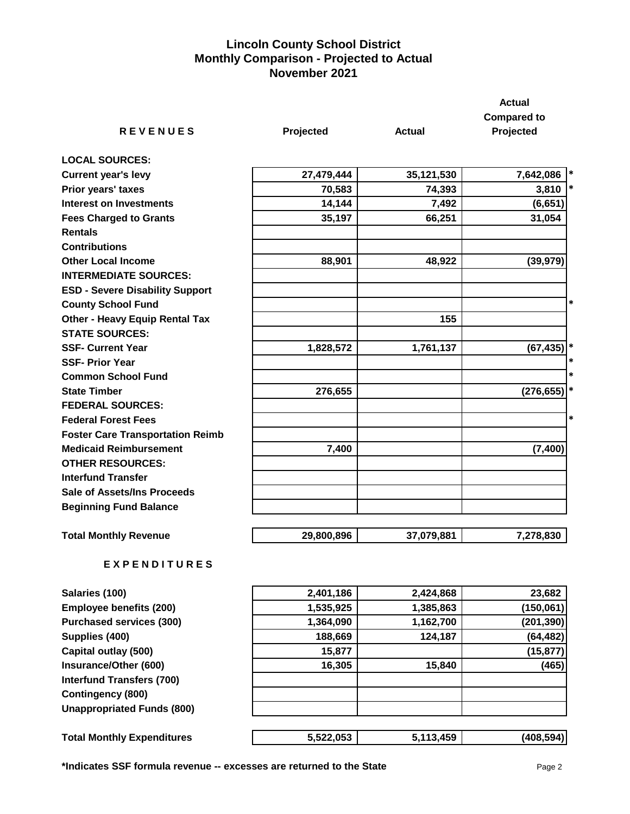## **Lincoln County School District Monthly Comparison - Projected to Actual November 2021**

|                                         |            |               | <b>Actual</b>        |
|-----------------------------------------|------------|---------------|----------------------|
|                                         |            |               | <b>Compared to</b>   |
| <b>REVENUES</b>                         | Projected  | <b>Actual</b> | Projected            |
| <b>LOCAL SOURCES:</b>                   |            |               |                      |
| <b>Current year's levy</b>              | 27,479,444 | 35,121,530    | 7,642,086<br>$\ast$  |
| Prior years' taxes                      | 70,583     | 74,393        | $\ast$<br>3,810      |
| <b>Interest on Investments</b>          | 14,144     | 7,492         | (6, 651)             |
| <b>Fees Charged to Grants</b>           | 35,197     | 66,251        | 31,054               |
| <b>Rentals</b>                          |            |               |                      |
| <b>Contributions</b>                    |            |               |                      |
| <b>Other Local Income</b>               | 88,901     | 48,922        | (39, 979)            |
| <b>INTERMEDIATE SOURCES:</b>            |            |               |                      |
| <b>ESD - Severe Disability Support</b>  |            |               |                      |
| <b>County School Fund</b>               |            |               | *                    |
| <b>Other - Heavy Equip Rental Tax</b>   |            | 155           |                      |
| <b>STATE SOURCES:</b>                   |            |               |                      |
| <b>SSF- Current Year</b>                | 1,828,572  | 1,761,137     | (67, 435)            |
| <b>SSF- Prior Year</b>                  |            |               |                      |
| <b>Common School Fund</b>               |            |               | *                    |
| <b>State Timber</b>                     | 276,655    |               | $\ast$<br>(276, 655) |
| <b>FEDERAL SOURCES:</b>                 |            |               |                      |
| <b>Federal Forest Fees</b>              |            |               | *                    |
| <b>Foster Care Transportation Reimb</b> |            |               |                      |
| <b>Medicaid Reimbursement</b>           | 7,400      |               | (7, 400)             |
| <b>OTHER RESOURCES:</b>                 |            |               |                      |
| <b>Interfund Transfer</b>               |            |               |                      |
| <b>Sale of Assets/Ins Proceeds</b>      |            |               |                      |
| <b>Beginning Fund Balance</b>           |            |               |                      |
| <b>Total Monthly Revenue</b>            | 29,800,896 | 37,079,881    | 7,278,830            |
| <b>EXPENDITURES</b>                     |            |               |                      |

| Salaries (100)                    | 2,401,186 | 2,424,868 | 23,682     |
|-----------------------------------|-----------|-----------|------------|
| <b>Employee benefits (200)</b>    | 1,535,925 | 1,385,863 | (150,061)  |
| <b>Purchased services (300)</b>   | 1,364,090 | 1,162,700 | (201, 390) |
| Supplies (400)                    | 188,669   | 124,187   | (64, 482)  |
| Capital outlay (500)              | 15,877    |           | (15, 877)  |
| Insurance/Other (600)             | 16,305    | 15,840    | (465)      |
| <b>Interfund Transfers (700)</b>  |           |           |            |
| <b>Contingency (800)</b>          |           |           |            |
| <b>Unappropriated Funds (800)</b> |           |           |            |
|                                   |           |           |            |
| <b>Total Monthly Expenditures</b> | 5,522,053 | 5,113,459 | (408, 594) |

**\*Indicates SSF formula revenue -- excesses are returned to the State** Page 2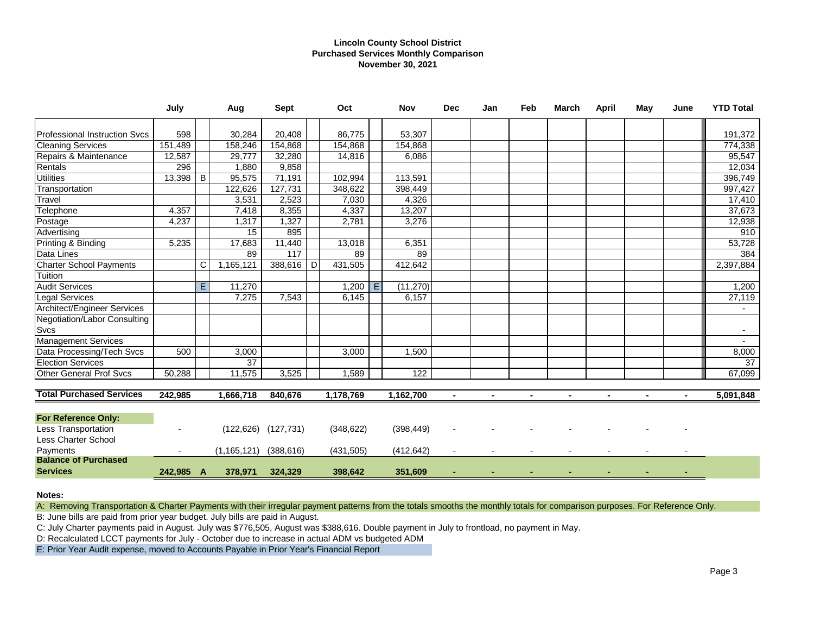### **Lincoln County School District Purchased Services Monthly Comparison November 30, 2021**

|                                             | July      |    | Aug           | <b>Sept</b>               |              | Oct        |   | <b>Nov</b> | <b>Dec</b> | Jan | Feb | March          | <b>April</b> | May | June | <b>YTD Total</b> |
|---------------------------------------------|-----------|----|---------------|---------------------------|--------------|------------|---|------------|------------|-----|-----|----------------|--------------|-----|------|------------------|
| <b>Professional Instruction Sycs</b>        | 598       |    | 30,284        | 20,408                    |              | 86,775     |   | 53,307     |            |     |     |                |              |     |      | 191,372          |
| <b>Cleaning Services</b>                    | 151,489   |    | 158,246       | 154,868                   |              | 154,868    |   | 154,868    |            |     |     |                |              |     |      | 774,338          |
| Repairs & Maintenance                       | 12,587    |    | 29,777        | 32,280                    |              | 14,816     |   | 6,086      |            |     |     |                |              |     |      | 95,547           |
| Rentals                                     | 296       |    | 1,880         | 9,858                     |              |            |   |            |            |     |     |                |              |     |      | 12,034           |
| <b>Utilities</b>                            | 13,398    | B  | 95,575        | 71,191                    |              | 102,994    |   | 113,591    |            |     |     |                |              |     |      | 396,749          |
| Transportation                              |           |    | 122,626       | 127,731                   |              | 348,622    |   | 398,449    |            |     |     |                |              |     |      | 997,427          |
| Travel                                      |           |    | 3,531         | 2,523                     |              | 7,030      |   | 4,326      |            |     |     |                |              |     |      | 17,410           |
| Telephone                                   | 4,357     |    | 7,418         | 8,355                     |              | 4,337      |   | 13,207     |            |     |     |                |              |     |      | 37,673           |
| Postage                                     | 4,237     |    | 1,317         | 1,327                     |              | 2,781      |   | 3,276      |            |     |     |                |              |     |      | 12,938           |
| Advertising                                 |           |    | 15            | 895                       |              |            |   |            |            |     |     |                |              |     |      | 910              |
| Printing & Binding                          | 5,235     |    | 17,683        | 11,440                    |              | 13,018     |   | 6,351      |            |     |     |                |              |     |      | 53,728           |
| Data Lines                                  |           |    | 89            | $\overline{117}$          |              | 89         |   | 89         |            |     |     |                |              |     |      | 384              |
| Charter School Payments                     |           | C  | 1,165,121     | 388,616                   | $\mathsf{D}$ | 431,505    |   | 412,642    |            |     |     |                |              |     |      | 2,397,884        |
| Tuition                                     |           |    |               |                           |              |            |   |            |            |     |     |                |              |     |      |                  |
| <b>Audit Services</b>                       |           | E. | 11,270        |                           |              | 1,200      | E | (11, 270)  |            |     |     |                |              |     |      | 1,200            |
| <b>Legal Services</b>                       |           |    | 7.275         | 7,543                     |              | 6.145      |   | 6.157      |            |     |     |                |              |     |      | 27,119           |
| <b>Architect/Engineer Services</b>          |           |    |               |                           |              |            |   |            |            |     |     |                |              |     |      |                  |
| Negotiation/Labor Consulting<br><b>Svcs</b> |           |    |               |                           |              |            |   |            |            |     |     |                |              |     |      |                  |
| <b>Management Services</b>                  |           |    |               |                           |              |            |   |            |            |     |     |                |              |     |      | $\sim$           |
| Data Processing/Tech Svcs                   | 500       |    | 3,000         |                           |              | 3,000      |   | 1,500      |            |     |     |                |              |     |      | 8,000            |
| <b>Election Services</b>                    |           |    | 37            |                           |              |            |   |            |            |     |     |                |              |     |      | 37               |
| <b>Other General Prof Svcs</b>              | 50,288    |    | 11,575        | 3,525                     |              | 1,589      |   | 122        |            |     |     |                |              |     |      | 67,099           |
| <b>Total Purchased Services</b>             | 242,985   |    | 1,666,718     | 840,676                   |              | 1,178,769  |   | 1,162,700  |            |     |     | $\blacksquare$ |              |     |      | 5,091,848        |
|                                             |           |    |               |                           |              |            |   |            |            |     |     |                |              |     |      |                  |
| <b>For Reference Only:</b>                  |           |    |               |                           |              |            |   |            |            |     |     |                |              |     |      |                  |
| Less Transportation                         |           |    |               | $(122, 626)$ $(127, 731)$ |              | (348, 622) |   | (398, 449) |            |     |     |                |              |     |      |                  |
| Less Charter School                         |           |    |               |                           |              |            |   |            |            |     |     |                |              |     |      |                  |
| Payments                                    |           |    | (1, 165, 121) | (388, 616)                |              | (431, 505) |   | (412, 642) |            |     |     |                |              |     |      |                  |
| <b>Balance of Purchased</b>                 |           |    |               |                           |              |            |   |            |            |     |     |                |              |     |      |                  |
| <b>Services</b>                             | 242,985 A |    | 378,971       | 324,329                   |              | 398,642    |   | 351,609    |            |     |     |                |              |     |      |                  |

**Notes:**

A: Removing Transportation & Charter Payments with their irregular payment patterns from the totals smooths the monthly totals for comparison purposes. For Reference Only.

B: June bills are paid from prior year budget. July bills are paid in August.

C: July Charter payments paid in August. July was \$776,505, August was \$388,616. Double payment in July to frontload, no payment in May.

D: Recalculated LCCT payments for July - October due to increase in actual ADM vs budgeted ADM

E: Prior Year Audit expense, moved to Accounts Payable in Prior Year's Financial Report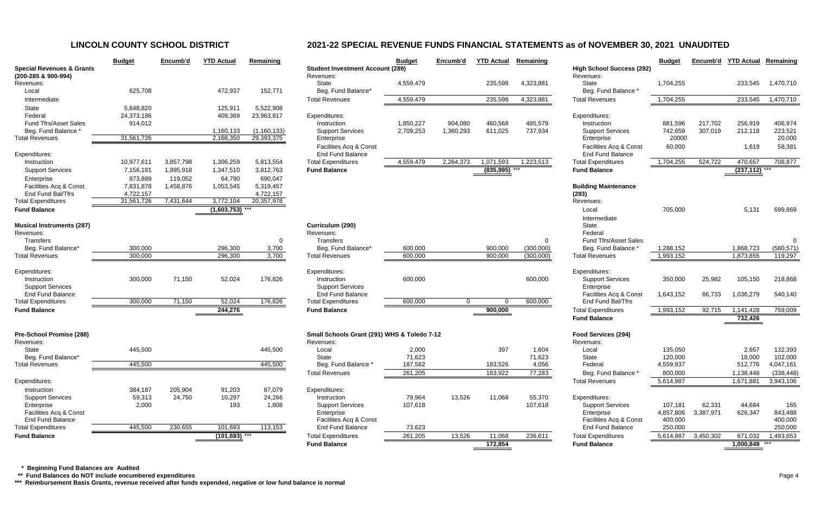|                                                             | <b>Budget</b>           | Encumb'd  | <b>YTD Actual</b> | Remaining               |                                  |
|-------------------------------------------------------------|-------------------------|-----------|-------------------|-------------------------|----------------------------------|
| <b>Special Revenues &amp; Grants</b><br>(200-285 & 900-994) |                         |           |                   |                         | <b>Student Inve</b><br>Revenues: |
| Revenues:<br>Local                                          | 625,708                 |           | 472,937           | 152,771                 | <b>State</b><br>Beg. Fund        |
| Intermediate                                                |                         |           |                   |                         | <b>Total Revenu</b>              |
| State                                                       |                         |           | 125,911           |                         |                                  |
| Federal                                                     | 5,648,820<br>24,373,186 |           | 409,369           | 5,522,908<br>23,963,817 | Expenditures:                    |
| <b>Fund Tfrs/Asset Sales</b>                                | 914,012                 |           |                   |                         | Instruction                      |
| Beg. Fund Balance *                                         |                         |           | 1,160,133         | (1, 160, 133)           | Support S                        |
| <b>Total Revenues</b>                                       | 31,561,726              |           | 2,168,350         | 29,393,375              | Enterprise                       |
|                                                             |                         |           |                   |                         | Facilities /                     |
| Expenditures:                                               |                         |           |                   |                         | End Fund                         |
| Instruction                                                 | 10,977,611              | 3,857,798 | 1,306,259         | 5,813,554               | <b>Total Expendi</b>             |
| <b>Support Services</b>                                     | 7,156,191               | 1,995,918 | 1,347,510         | 3,812,763               | <b>Fund Balanc</b>               |
| Enterprise                                                  | 873,889                 | 119,052   | 64,790            | 690,047                 |                                  |
| Facilities Acq & Const                                      | 7,831,878               | 1,458,876 | 1,053,545         | 5,319,457               |                                  |
| End Fund Bal/Tfrs                                           | 4,722,157               |           |                   | 4,722,157               |                                  |
| <b>Total Expenditures</b>                                   | 31,561,726              | 7,431,644 | 3,772,104         | 20,357,978              |                                  |
| <b>Fund Balance</b>                                         |                         |           | (1,603,753)       |                         |                                  |
| <b>Musical Instruments (287)</b><br>Revenues:               |                         |           |                   |                         | Curriculum (<br>Revenues:        |
| <b>Transfers</b>                                            |                         |           |                   | 0                       | <b>Transfers</b>                 |
| Beg. Fund Balance*                                          | 300,000                 |           | 296,300           | 3,700                   | Beg. Fund                        |
| <b>Total Revenues</b>                                       | 300,000                 |           | 296,300           | 3,700                   | <b>Total Revenu</b>              |
| Expenditures:                                               |                         |           |                   |                         | Expenditures:                    |
| Instruction                                                 | 300,000                 | 71,150    | 52,024            | 176,826                 | Instruction                      |
| <b>Support Services</b>                                     |                         |           |                   |                         | Support S                        |
| <b>End Fund Balance</b>                                     |                         |           |                   |                         | End Fund                         |
| <b>Total Expenditures</b>                                   | 300,000                 | 71,150    | 52,024            | 176,826                 | <b>Total Expendi</b>             |
| <b>Fund Balance</b>                                         |                         |           | 244,276           |                         | <b>Fund Balanc</b>               |
|                                                             |                         |           |                   |                         |                                  |
| Pre-School Promise (288)                                    |                         |           |                   |                         | <b>Small Schoo</b>               |
| Revenues:                                                   |                         |           |                   |                         | Revenues:                        |
| <b>State</b><br>Beg. Fund Balance*                          | 445,500                 |           |                   | 445,500                 | Local<br><b>State</b>            |
| <b>Total Revenues</b>                                       | 445,500                 |           |                   | 445,500                 | Beg. Fund                        |
|                                                             |                         |           |                   |                         | <b>Total Revenu</b>              |
| Expenditures:                                               |                         |           |                   |                         |                                  |
| Instruction                                                 | 384,187                 | 205,904   | 91,203            | 87,079                  | Expenditures:                    |
| <b>Support Services</b>                                     | 59,313                  | 24,750    | 10,297            | 24,266                  | Instruction                      |
| Enterprise                                                  | 2,000                   |           | 193               | 1,808                   | Support S                        |
| Facilities Acq & Const                                      |                         |           |                   |                         | Enterprise                       |
| <b>End Fund Balance</b>                                     |                         |           |                   |                         | Facilities /                     |
| <b>Total Expenditures</b>                                   | 445,500                 | 230,655   | 101,693           | 113,153                 | End Fund                         |
| <b>Fund Balance</b>                                         |                         |           | (101, 693)        |                         | <b>Total Expendi</b>             |

|                                                | <b>Budget</b>           | Encumb'd          | <b>YTD Actual</b>      | Remaining                   |                                                   | <b>Budget</b> | Encumb'd    | <b>YTD Actual</b> | Remaining |                                                   | <b>Budget</b>    | Encumb'd  | <b>YTD Actual</b> | Remaining         |
|------------------------------------------------|-------------------------|-------------------|------------------------|-----------------------------|---------------------------------------------------|---------------|-------------|-------------------|-----------|---------------------------------------------------|------------------|-----------|-------------------|-------------------|
| <b>Special Revenues &amp; Grants</b>           |                         |                   |                        |                             | <b>Student Investment Account (289)</b>           |               |             |                   |           | <b>High School Success (292)</b>                  |                  |           |                   |                   |
| (200-285 & 900-994)                            |                         |                   |                        |                             | Revenues:                                         |               |             |                   |           | Revenues:                                         |                  |           |                   |                   |
| Revenues:                                      | 625,708                 |                   |                        |                             | State                                             | 4,559,479     |             | 235,598           | 4,323,881 | State                                             | 1,704,255        |           | 233,545           | 1,470,710         |
| Local                                          |                         |                   | 472,937                | 152,771                     | Beg. Fund Balance*                                |               |             |                   |           | Beg. Fund Balance *                               |                  |           |                   |                   |
| Intermediate                                   |                         |                   |                        |                             | <b>Total Revenues</b>                             | 4,559,479     |             | 235,598           | 4,323,881 | <b>Total Revenues</b>                             | 1,704,255        |           | 233,545           | 1,470,710         |
| State                                          | 5,648,820               |                   | 125,911                | 5,522,908                   |                                                   |               |             |                   |           |                                                   |                  |           |                   |                   |
| Federal                                        | 24,373,186              |                   | 409,369                | 23,963,817                  | Expenditures:                                     |               |             |                   |           | Expenditures:                                     |                  |           |                   |                   |
| Fund Tfrs/Asset Sales                          | 914,012                 |                   |                        |                             | Instruction                                       | 1,850,227     | 904,080     | 460,568           | 485,579   | Instruction                                       | 881,596          | 217,702   | 256,919           | 406,974           |
| Beg. Fund Balance *<br><b>Total Revenues</b>   | 31,561,726              |                   | 1,160,133<br>2,168,350 | (1, 160, 133)<br>29,393,375 | <b>Support Services</b>                           | 2,709,253     | 1,360,293   | 611,025           | 737,934   | <b>Support Services</b>                           | 742,659<br>20000 | 307,019   | 212,118           | 223,521<br>20,000 |
|                                                |                         |                   |                        |                             | Enterprise                                        |               |             |                   |           | Enterprise                                        |                  |           |                   |                   |
|                                                |                         |                   |                        |                             | Facilities Acq & Const<br><b>End Fund Balance</b> |               |             |                   |           | Facilities Acq & Const<br><b>End Fund Balance</b> | 60,000           |           | 1,619             | 58,381            |
| Expenditures:<br>Instruction                   | 10,977,611              | 3,857,798         | 1,306,259              | 5,813,554                   | <b>Total Expenditures</b>                         | 4,559,479     | 2,264,373   | 1,071,593         | 1,223,513 | <b>Total Expenditures</b>                         | 1,704,255        | 524,722   | 470,657           | 708,877           |
|                                                |                         |                   |                        |                             |                                                   |               |             |                   |           |                                                   |                  |           |                   |                   |
| <b>Support Services</b>                        | 7,156,191               | 1,995,918         | 1,347,510              | 3,812,763                   | <b>Fund Balance</b>                               |               |             | (835, 995)        |           | <b>Fund Balance</b>                               |                  |           | $(237, 112)$ ***  |                   |
| Enterprise                                     | 873,889                 | 119,052           | 64,790                 | 690,047                     |                                                   |               |             |                   |           |                                                   |                  |           |                   |                   |
| Facilities Acq & Const                         | 7,831,878               | 1,458,876         | 1,053,545              | 5,319,457                   |                                                   |               |             |                   |           | <b>Building Maintenance</b>                       |                  |           |                   |                   |
| End Fund Bal/Tfrs<br><b>Total Expenditures</b> | 4,722,157<br>31,561,726 | 7,431,644         | 3,772,104              | 4,722,157<br>20,357,978     |                                                   |               |             |                   |           | (293)<br>Revenues:                                |                  |           |                   |                   |
|                                                |                         |                   |                        |                             |                                                   |               |             |                   |           |                                                   |                  |           |                   |                   |
| <b>Fund Balance</b>                            |                         |                   | $(1,603,753)$ ***      |                             |                                                   |               |             |                   |           | Local                                             | 705,000          |           | 5,131             | 699,869           |
|                                                |                         |                   |                        |                             |                                                   |               |             |                   |           | Intermediate                                      |                  |           |                   |                   |
| <b>Musical Instruments (287)</b>               |                         |                   |                        |                             | Curriculum (290)                                  |               |             |                   |           | State                                             |                  |           |                   |                   |
| Revenues:<br>Transfers                         |                         |                   |                        |                             | Revenues:<br>Transfers                            |               |             |                   |           | Federal<br><b>Fund Tfrs/Asset Sales</b>           |                  |           |                   |                   |
| Beg. Fund Balance*                             | 300,000                 |                   | 296,300                | 0<br>3,700                  | Beg. Fund Balance*                                | 600,000       |             | 900,000           | (300,000) | Beg. Fund Balance *                               | 1,288,152        |           | 1,868,723         | (580, 571)        |
| <b>Total Revenues</b>                          | 300,000                 |                   | 296,300                | 3,700                       | <b>Total Revenues</b>                             | 600,000       |             | 900,000           | (300,000) | <b>Total Revenues</b>                             | 1,993,152        |           | 1,873,855         | 119,297           |
|                                                |                         |                   |                        |                             |                                                   |               |             |                   |           |                                                   |                  |           |                   |                   |
| Expenditures:                                  |                         |                   |                        |                             | Expenditures:                                     |               |             |                   |           | Expenditures:                                     |                  |           |                   |                   |
| Instruction                                    | 300,000                 | 71,150            | 52,024                 | 176,826                     | Instruction                                       | 600,000       |             |                   | 600,000   | <b>Support Services</b>                           | 350,000          | 25,982    | 105,150           | 218,868           |
| <b>Support Services</b>                        |                         |                   |                        |                             | <b>Support Services</b>                           |               |             |                   |           | Enterprise                                        |                  |           |                   |                   |
| <b>End Fund Balance</b>                        |                         |                   |                        |                             | End Fund Balance                                  |               |             |                   |           | Facilities Acq & Const                            | 1,643,152        | 66,733    | 1,036,279         | 540,140           |
| <b>Total Expenditures</b>                      | 300,000                 | 71,150            | 52,024                 | 176,826                     | <b>Total Expenditures</b>                         | 600,000       | $\mathbf 0$ |                   | 600,000   | End Fund Bal/Tfrs                                 |                  |           |                   |                   |
| <b>Fund Balance</b>                            |                         |                   | 244,276                |                             | <b>Fund Balance</b>                               |               |             | 900,000           |           | <b>Total Expenditures</b>                         | 1,993,152        | 92,715    | 1,141,428         | 759,009           |
|                                                |                         |                   |                        |                             |                                                   |               |             |                   |           | <b>Fund Balance</b>                               |                  |           | 732,426           |                   |
|                                                |                         |                   |                        |                             | Small Schools Grant (291) WHS & Toledo 7-12       |               |             |                   |           |                                                   |                  |           |                   |                   |
| Pre-School Promise (288)<br>Revenues:          |                         |                   |                        |                             |                                                   |               |             |                   |           | Food Services (294)<br>Revenues:                  |                  |           |                   |                   |
| State                                          | 445,500                 |                   |                        | 445,500                     | Revenues:<br>Local                                | 2,000         |             | 397               | 1,604     | Local                                             | 135,050          |           | 2,657             | 132,393           |
| Beg. Fund Balance*                             |                         |                   |                        |                             | State                                             | 71,623        |             |                   | 71,623    | State                                             | 120,000          |           | 18,000            | 102,000           |
| <b>Total Revenues</b>                          | 445,500                 |                   |                        | 445,500                     | Beg. Fund Balance *                               | 187,582       |             | 183,526           | 4,056     | Federal                                           | 4,559,937        |           | 512,776           | 4,047,161         |
|                                                |                         |                   |                        |                             | <b>Total Revenues</b>                             | 261,205       |             | 183,922           | 77,283    | Beg. Fund Balance *                               | 800,000          |           | 1,138,448         | (338, 448)        |
| Expenditures:                                  |                         |                   |                        |                             |                                                   |               |             |                   |           | <b>Total Revenues</b>                             | 5,614,987        |           | 1,671,881         | 3,943,106         |
|                                                | 384,187                 |                   |                        |                             |                                                   |               |             |                   |           |                                                   |                  |           |                   |                   |
| Instruction<br><b>Support Services</b>         | 59,313                  | 205,904<br>24,750 | 91,203<br>10,297       | 87,079<br>24,266            | Expenditures:<br>Instruction                      | 79,964        | 13,526      | 11,068            | 55,370    | Expenditures:                                     |                  |           |                   |                   |
| Enterprise                                     | 2,000                   |                   | 193                    | 1,808                       | <b>Support Services</b>                           | 107,618       |             |                   | 107,618   | <b>Support Services</b>                           | 107,181          | 62,331    | 44,684            | 165               |
| Facilities Acq & Const                         |                         |                   |                        |                             | Enterprise                                        |               |             |                   |           | Enterprise                                        | 4,857,806        | 3,387,971 | 626,347           | 843,488           |
| <b>End Fund Balance</b>                        |                         |                   |                        |                             | Facilities Acq & Const                            |               |             |                   |           | Facilities Acq & Const                            | 400,000          |           |                   | 400,000           |
| <b>Total Expenditures</b>                      | 445,500                 | 230,655           | 101,693                | 113,153                     | End Fund Balance                                  | 73,623        |             |                   |           | <b>End Fund Balance</b>                           | 250,000          |           |                   | 250,000           |
| <b>Fund Balance</b>                            |                         |                   | $(101, 693)$ ***       |                             | <b>Total Expenditures</b>                         | 261,205       | 13,526      | 11,068            | 236,611   | <b>Total Expenditures</b>                         | 5,614,987        | 3,450,302 | 671,032           | 1,493,653         |
|                                                |                         |                   |                        |                             | <b>Fund Balance</b>                               |               |             | 172,854           |           | <b>Fund Balance</b>                               |                  |           | $1,000,849$ ***   |                   |
|                                                |                         |                   |                        |                             |                                                   |               |             |                   |           |                                                   |                  |           |                   |                   |

 **\* Beginning Fund Balances are Audited**

 **\*\* Fund Balances do NOT include encumbered expenditures** Page 4

**\*\*\* Reimbursement Basis Grants, revenue received after funds expended, negative or low fund balance is normal**

# **LINCOLN COUNTY SCHOOL DISTRICT 2021-22 SPECIAL REVENUE FUNDS FINANCIAL STATEMENTS as of NOVEMBER 30, 2021 UNAUDITED**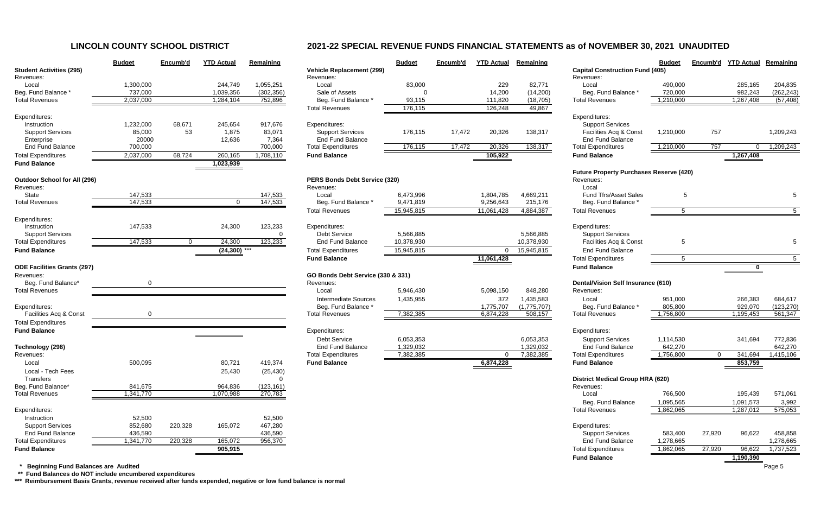# **LINCOLN COUNTY SCHOOL DISTRICT 2021-22 SPECIAL REVENUE FUNDS FINANCIAL STATEMENTS as of NOVEMBER 30, 2021 UNAUDITED**

| <b>Student Activities (295)</b><br>Revenues: | <b>Budget</b> | Encumb'd       | <b>YTD Actual</b> | Remaining  | <b>Vehicle Replacement (299)</b><br>Revenues: | <b>Budget</b> | Encumb'd | <b>YTD Actual</b> | Remaining   | <b>Capital Construction Fund (405)</b><br>Revenues: | <b>Budget</b> | Encumb'd | <b>YTD Actual</b> | Remaining      |
|----------------------------------------------|---------------|----------------|-------------------|------------|-----------------------------------------------|---------------|----------|-------------------|-------------|-----------------------------------------------------|---------------|----------|-------------------|----------------|
| Local                                        | 1,300,000     |                | 244,749           | 1,055,251  | Local                                         | 83,000        |          | 229               | 82,771      | Local                                               | 490,000       |          | 285,165           | 204,835        |
| Beg. Fund Balance *                          | 737,000       |                | 1,039,356         | (302, 356) | Sale of Assets                                |               |          | 14,200            | (14,200)    | Beg. Fund Balance                                   | 720,000       |          | 982,243           | (262, 243)     |
| <b>Total Revenues</b>                        | 2,037,000     |                | 1,284,104         | 752,896    | Beg. Fund Balance *                           | 93,115        |          | 111,820           | (18, 705)   | <b>Total Revenues</b>                               | 1,210,000     |          | 1,267,408         | (57, 408)      |
|                                              |               |                |                   |            | <b>Total Revenues</b>                         | 176,115       |          | 126,248           | 49,867      |                                                     |               |          |                   |                |
| Expenditures:                                |               |                |                   |            |                                               |               |          |                   |             | Expenditures:                                       |               |          |                   |                |
| Instruction                                  | 1,232,000     | 68,671         | 245,654           | 917,676    | Expenditures:                                 |               |          |                   |             | <b>Support Services</b>                             |               |          |                   |                |
| <b>Support Services</b>                      | 85,000        | 53             | 1,875             | 83,071     | <b>Support Services</b>                       | 176,115       | 17,472   | 20,326            | 138,317     | Facilities Acq & Const                              | 1,210,000     | 757      |                   | 1,209,243      |
| Enterprise                                   | 20000         |                | 12,636            | 7,364      | End Fund Balance                              |               |          |                   |             | <b>End Fund Balance</b>                             |               |          |                   |                |
| <b>End Fund Balance</b>                      | 700,000       |                |                   | 700,000    | <b>Total Expenditures</b>                     | 176,115       | 17,472   | 20,326            | 138,317     | <b>Total Expenditures</b>                           | 1,210,000     | 757      | $\Omega$          | 1,209,243      |
| <b>Total Expenditures</b>                    | 2,037,000     | 68,724         | 260,165           | 1,708,110  | <b>Fund Balance</b>                           |               |          | 105,922           |             | <b>Fund Balance</b>                                 |               |          | 1,267,408         |                |
| <b>Fund Balance</b>                          |               |                | 1,023,939         |            |                                               |               |          |                   |             |                                                     |               |          |                   |                |
|                                              |               |                |                   |            |                                               |               |          |                   |             | <b>Future Property Purchases Reserve (420)</b>      |               |          |                   |                |
| <b>Outdoor School for All (296)</b>          |               |                |                   |            | PERS Bonds Debt Service (320)                 |               |          |                   |             | Revenues:                                           |               |          |                   |                |
| Revenues:                                    |               |                |                   |            | Revenues:                                     |               |          |                   |             | Local                                               |               |          |                   |                |
| State                                        | 147,533       |                |                   | 147,533    | Local                                         | 6,473,996     |          | 1,804,785         | 4,669,211   | Fund Tfrs/Asset Sales                               | -5            |          |                   |                |
| <b>Total Revenues</b>                        | 147,533       |                | $\mathbf{0}$      | 147,533    | Beg. Fund Balance *                           | 9,471,819     |          | 9,256,643         | 215,176     | Beg. Fund Balance                                   |               |          |                   |                |
|                                              |               |                |                   |            | <b>Total Revenues</b>                         | 15,945,815    |          | 11,061,428        | 4,884,387   | <b>Total Revenues</b>                               | -5            |          |                   | 5 <sup>5</sup> |
| Expenditures:                                |               |                |                   |            |                                               |               |          |                   |             |                                                     |               |          |                   |                |
| Instruction                                  | 147,533       |                | 24,300            | 123,233    | Expenditures:                                 |               |          |                   |             | Expenditures:                                       |               |          |                   |                |
| <b>Support Services</b>                      |               |                |                   | $\Omega$   | <b>Debt Service</b>                           | 5,566,885     |          |                   | 5,566,885   | <b>Support Services</b>                             |               |          |                   |                |
| <b>Total Expenditures</b>                    | 147,533       | $\overline{0}$ | 24,300            | 123,233    | <b>End Fund Balance</b>                       | 10,378,930    |          |                   | 10,378,930  | Facilities Acq & Const                              | -5            |          |                   |                |
| <b>Fund Balance</b>                          |               |                | $(24,300)$ ***    |            | <b>Total Expenditures</b>                     | 15,945,815    |          | $\Omega$          | 15,945,815  | <b>End Fund Balance</b>                             |               |          |                   |                |
|                                              |               |                |                   |            | <b>Fund Balance</b>                           |               |          | 11,061,428        |             | <b>Total Expenditures</b>                           | -5            |          |                   | 5 <sup>5</sup> |
| <b>ODE Facilities Grants (297)</b>           |               |                |                   |            |                                               |               |          |                   |             | <b>Fund Balance</b>                                 |               |          |                   |                |
| Revenues:                                    |               |                |                   |            | GO Bonds Debt Service (330 & 331)             |               |          |                   |             |                                                     |               |          |                   |                |
| Beg. Fund Balance*                           |               |                |                   |            | Revenues:                                     |               |          |                   |             | <b>Dental/Vision Self Insurance (610)</b>           |               |          |                   |                |
| <b>Total Revenues</b>                        |               |                |                   |            | Local                                         | 5,946,430     |          | 5,098,150         | 848,280     | Revenues:                                           |               |          |                   |                |
|                                              |               |                |                   |            | <b>Intermediate Sources</b>                   | 1,435,955     |          | 372               | 1,435,583   | Local                                               | 951,000       |          | 266,383           | 684,617        |
| Expenditures:                                |               |                |                   |            | Beg. Fund Balance                             |               |          | 1,775,707         | (1,775,707) | Beg. Fund Balance *                                 | 805,800       |          | 929,070           | (123, 270)     |
| Facilities Acq & Const                       | $\mathbf{0}$  |                |                   |            | <b>Total Revenues</b>                         | 7,382,385     |          | 6,874,228         | 508,157     | <b>Total Revenues</b>                               | 1,756,800     |          | 1,195,453         | 561,347        |
| <b>Total Expenditures</b>                    |               |                |                   |            |                                               |               |          |                   |             |                                                     |               |          |                   |                |
| <b>Fund Balance</b>                          |               |                |                   |            | Expenditures:                                 |               |          |                   |             | Expenditures:                                       |               |          |                   |                |
|                                              |               |                |                   |            | <b>Debt Service</b>                           | 6,053,353     |          |                   | 6,053,353   | <b>Support Services</b>                             | 1,114,530     |          | 341,694           | 772,836        |
| Technology (298)                             |               |                |                   |            | <b>End Fund Balance</b>                       | 1,329,032     |          |                   | 1,329,032   | <b>End Fund Balance</b>                             | 642,270       |          |                   | 642,270        |
| Revenues:                                    |               |                |                   |            | <b>Total Expenditures</b>                     | 7,382,385     |          | $\Omega$          | 7,382,385   | <b>Total Expenditures</b>                           | 1,756,800     |          | 341,694           | 1,415,106      |
| Local                                        | 500,095       |                | 80,721            | 419,374    | <b>Fund Balance</b>                           |               |          | 6,874,228         |             | <b>Fund Balance</b>                                 |               |          | 853,759           |                |
| Local - Tech Fees                            |               |                | 25,430            | (25, 430)  |                                               |               |          |                   |             |                                                     |               |          |                   |                |
| Transfers                                    |               |                |                   | 0          |                                               |               |          |                   |             | <b>District Medical Group HRA (620)</b>             |               |          |                   |                |
| Beg. Fund Balance*                           | 841,675       |                | 964,836           | (123, 161) |                                               |               |          |                   |             | Revenues:                                           |               |          |                   |                |
| <b>Total Revenues</b>                        | 1,341,770     |                | 1,070,988         | 270,783    |                                               |               |          |                   |             | Local                                               | 766,500       |          | 195,439           | 571,061        |
|                                              |               |                |                   |            |                                               |               |          |                   |             | Beg. Fund Balance                                   | 1,095,565     |          | 1,091,573         | 3,992          |
| Expenditures:                                |               |                |                   |            |                                               |               |          |                   |             | <b>Total Revenues</b>                               | 1,862,065     |          | 1,287,012         | 575,053        |
| Instruction                                  | 52,500        |                |                   | 52,500     |                                               |               |          |                   |             |                                                     |               |          |                   |                |
| <b>Support Services</b>                      | 852,680       | 220,328        | 165,072           | 467,280    |                                               |               |          |                   |             | Expenditures:                                       |               |          |                   |                |
| <b>End Fund Balance</b>                      | 436,590       |                |                   | 436,590    |                                               |               |          |                   |             | <b>Support Services</b><br><b>End Fund Balance</b>  | 583,400       | 27,920   | 96,622            | 458,858        |
| <b>Total Expenditures</b>                    | 1,341,770     | 220,328        | 165,072           | 956,370    |                                               |               |          |                   |             |                                                     | 1,278,665     |          |                   | 1,278,665      |
| <b>Fund Balance</b>                          |               |                | 905,915           |            |                                               |               |          |                   |             | <b>Total Expenditures</b>                           | 1,862,065     | 27,920   | 96,622            | 1,737,523      |
|                                              |               |                |                   |            |                                               |               |          |                   |             | <b>Fund Balance</b>                                 |               |          | 1,190,390         |                |
| <b>Beginning Fund Balances are Audited</b>   |               |                |                   |            |                                               |               |          |                   |             |                                                     |               |          |                   | Page 5         |

|                                                  | <b>Budget</b> | Encumb'd | <b>YTD Actual</b> | Remaining  |                                                | <b>Bud</b>      |
|--------------------------------------------------|---------------|----------|-------------------|------------|------------------------------------------------|-----------------|
| <b>Student Activities (295)</b><br>Revenues:     |               |          |                   |            | <b>Vehicle Replacement (299)</b><br>Revenues:  |                 |
| Local                                            | 1,300,000     |          | 244,749           | 1,055,251  | Local                                          | 8               |
| Beg. Fund Balance *                              | 737,000       |          | 1,039,356         | (302, 356) | Sale of Assets                                 |                 |
| <b>Total Revenues</b>                            | 2,037,000     |          | 1,284,104         | 752,896    | Beg. Fund Balance *                            | 9               |
|                                                  |               |          |                   |            | <b>Total Revenues</b>                          | 17              |
| Expenditures:                                    |               |          |                   |            |                                                |                 |
| Instruction                                      | 1,232,000     | 68,671   | 245,654           | 917,676    | Expenditures:                                  |                 |
| <b>Support Services</b>                          | 85,000        | 53       | 1,875             | 83,071     | <b>Support Services</b>                        | 17              |
| Enterprise                                       | 20000         |          | 12,636            | 7,364      | <b>End Fund Balance</b>                        |                 |
| <b>End Fund Balance</b>                          | 700,000       |          |                   | 700,000    | <b>Total Expenditures</b>                      | $\overline{17}$ |
| <b>Total Expenditures</b>                        | 2,037,000     | 68,724   | 260,165           | 1,708,110  | <b>Fund Balance</b>                            |                 |
| <b>Fund Balance</b>                              |               |          | 1,023,939         |            |                                                |                 |
| <b>Outdoor School for All (296)</b><br>Revenues: |               |          |                   |            | PERS Bonds Debt Service (320)<br>Revenues:     |                 |
| <b>State</b>                                     | 147,533       |          |                   | 147,533    | Local                                          | 6,47            |
| <b>Total Revenues</b>                            | 147,533       |          | 0                 | 147,533    | Beg. Fund Balance *                            | 9,47            |
|                                                  |               |          |                   |            | <b>Total Revenues</b>                          | 15,94           |
| Expenditures:                                    |               |          |                   |            |                                                |                 |
| Instruction                                      | 147,533       |          | 24,300            | 123,233    | Expenditures:                                  |                 |
| <b>Support Services</b>                          |               |          |                   | 0          | <b>Debt Service</b>                            | 5,56            |
| <b>Total Expenditures</b>                        | 147,533       | 0        | 24,300            | 123,233    | <b>End Fund Balance</b>                        | 10,37           |
| <b>Fund Balance</b>                              |               |          | $(24,300)$ ***    |            | <b>Total Expenditures</b>                      | 15,94           |
|                                                  |               |          |                   |            | <b>Fund Balance</b>                            |                 |
| <b>ODE Facilities Grants (297)</b>               |               |          |                   |            |                                                |                 |
| Revenues:<br>Beg. Fund Balance*                  | 0             |          |                   |            | GO Bonds Debt Service (330 & 331)<br>Revenues: |                 |
| <b>Total Revenues</b>                            |               |          |                   |            | Local                                          | 5,94            |
|                                                  |               |          |                   |            | <b>Intermediate Sources</b>                    | 1,43            |
| Expenditures:                                    |               |          |                   |            | Beg. Fund Balance *                            |                 |
| Facilities Acq & Const                           | 0             |          |                   |            | <b>Total Revenues</b>                          | 7,38            |
| <b>Total Expenditures</b>                        |               |          |                   |            |                                                |                 |
| <b>Fund Balance</b>                              |               |          |                   |            | Expenditures:                                  |                 |
|                                                  |               |          |                   |            | <b>Debt Service</b>                            | 6,05            |
| Technology (298)                                 |               |          |                   |            | <b>End Fund Balance</b>                        | 1,32            |
| Revenues:                                        |               |          |                   |            | <b>Total Expenditures</b>                      | 7,38            |
| Local                                            | 500,095       |          | 80,721            | 419,374    | <b>Fund Balance</b>                            |                 |
| Local - Tech Fees                                |               |          | 25,430            | (25, 430)  |                                                |                 |
| <b>Transfers</b>                                 |               |          |                   | 0          |                                                |                 |
| Beg. Fund Balance*                               | 841,675       |          | 964,836           | (123, 161) |                                                |                 |
| <b>Total Revenues</b>                            | 1,341,770     |          | 1,070,988         | 270,783    |                                                |                 |
|                                                  |               |          |                   |            |                                                |                 |
| Expenditures:                                    |               |          |                   |            |                                                |                 |
| Instruction                                      | 52,500        |          |                   | 52,500     |                                                |                 |
| <b>Support Services</b>                          | 852,680       | 220,328  | 165,072           | 467,280    |                                                |                 |
| <b>End Fund Balance</b>                          | 436,590       |          |                   | 436,590    |                                                |                 |
| <b>Total Expenditures</b>                        | 1,341,770     | 220,328  | 165,072           | 956,370    |                                                |                 |
| <b>Fund Balance</b>                              |               |          | 905,915           |            |                                                |                 |

 **\*\* Fund Balances do NOT include encumbered expenditures**

**\*\*\* Reimbursement Basis Grants, revenue received after funds expended, negative or low fund balance is normal**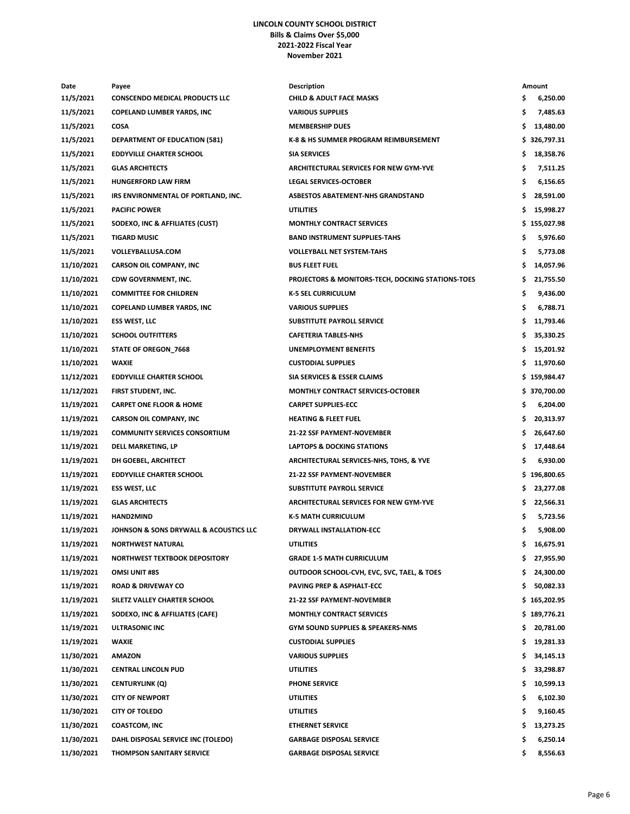### **LINCOLN COUNTY SCHOOL DISTRICT Bills & Claims Over \$5,000 2021-2022 Fiscal Year November 2021**

| Date       | Payee                                  | <b>Description</b>                                |     | Amount       |
|------------|----------------------------------------|---------------------------------------------------|-----|--------------|
| 11/5/2021  | <b>CONSCENDO MEDICAL PRODUCTS LLC</b>  | <b>CHILD &amp; ADULT FACE MASKS</b>               | \$  | 6,250.00     |
| 11/5/2021  | <b>COPELAND LUMBER YARDS, INC</b>      | <b>VARIOUS SUPPLIES</b>                           | \$  | 7,485.63     |
| 11/5/2021  | <b>COSA</b>                            | <b>MEMBERSHIP DUES</b>                            | \$  | 13,480.00    |
| 11/5/2021  | <b>DEPARTMENT OF EDUCATION (581)</b>   | K-8 & HS SUMMER PROGRAM REIMBURSEMENT             |     | \$326,797.31 |
| 11/5/2021  | <b>EDDYVILLE CHARTER SCHOOL</b>        | <b>SIA SERVICES</b>                               | \$  | 18,358.76    |
| 11/5/2021  | <b>GLAS ARCHITECTS</b>                 | <b>ARCHITECTURAL SERVICES FOR NEW GYM-YVE</b>     | \$  | 7,511.25     |
| 11/5/2021  | <b>HUNGERFORD LAW FIRM</b>             | <b>LEGAL SERVICES-OCTOBER</b>                     | \$  | 6,156.65     |
| 11/5/2021  | IRS ENVIRONMENTAL OF PORTLAND, INC.    | ASBESTOS ABATEMENT-NHS GRANDSTAND                 | \$  | 28,591.00    |
| 11/5/2021  | <b>PACIFIC POWER</b>                   | <b>UTILITIES</b>                                  | \$  | 15,998.27    |
| 11/5/2021  | SODEXO, INC & AFFILIATES (CUST)        | <b>MONTHLY CONTRACT SERVICES</b>                  |     | \$155,027.98 |
| 11/5/2021  | <b>TIGARD MUSIC</b>                    | <b>BAND INSTRUMENT SUPPLIES-TAHS</b>              | \$  | 5,976.60     |
| 11/5/2021  | <b>VOLLEYBALLUSA.COM</b>               | <b>VOLLEYBALL NET SYSTEM-TAHS</b>                 | \$  | 5,773.08     |
| 11/10/2021 | <b>CARSON OIL COMPANY, INC</b>         | <b>BUS FLEET FUEL</b>                             | \$  | 14,057.96    |
| 11/10/2021 | CDW GOVERNMENT, INC.                   | PROJECTORS & MONITORS-TECH, DOCKING STATIONS-TOES | \$  | 21,755.50    |
| 11/10/2021 | <b>COMMITTEE FOR CHILDREN</b>          | <b>K-5 SEL CURRICULUM</b>                         | \$  | 9,436.00     |
| 11/10/2021 | <b>COPELAND LUMBER YARDS, INC</b>      | <b>VARIOUS SUPPLIES</b>                           | \$  | 6,788.71     |
| 11/10/2021 | <b>ESS WEST, LLC</b>                   | <b>SUBSTITUTE PAYROLL SERVICE</b>                 | \$  | 11,793.46    |
| 11/10/2021 | <b>SCHOOL OUTFITTERS</b>               | <b>CAFETERIA TABLES-NHS</b>                       | \$  | 35,330.25    |
| 11/10/2021 | <b>STATE OF OREGON_7668</b>            | UNEMPLOYMENT BENEFITS                             | \$  | 15,201.92    |
| 11/10/2021 | <b>WAXIE</b>                           | <b>CUSTODIAL SUPPLIES</b>                         | \$  | 11,970.60    |
| 11/12/2021 | <b>EDDYVILLE CHARTER SCHOOL</b>        | SIA SERVICES & ESSER CLAIMS                       |     | \$159,984.47 |
| 11/12/2021 | FIRST STUDENT, INC.                    | MONTHLY CONTRACT SERVICES-OCTOBER                 |     | \$370,700.00 |
| 11/19/2021 | <b>CARPET ONE FLOOR &amp; HOME</b>     | <b>CARPET SUPPLIES-ECC</b>                        | \$  | 6,204.00     |
| 11/19/2021 | <b>CARSON OIL COMPANY, INC</b>         | <b>HEATING &amp; FLEET FUEL</b>                   | \$  | 20,313.97    |
| 11/19/2021 | <b>COMMUNITY SERVICES CONSORTIUM</b>   | <b>21-22 SSF PAYMENT-NOVEMBER</b>                 | \$  | 26,647.60    |
| 11/19/2021 | DELL MARKETING, LP                     | <b>LAPTOPS &amp; DOCKING STATIONS</b>             | \$  | 17,448.64    |
| 11/19/2021 | DH GOEBEL, ARCHITECT                   | ARCHITECTURAL SERVICES-NHS, TOHS, & YVE           | \$  | 6,930.00     |
| 11/19/2021 | <b>EDDYVILLE CHARTER SCHOOL</b>        | <b>21-22 SSF PAYMENT-NOVEMBER</b>                 |     | \$196,800.65 |
| 11/19/2021 | <b>ESS WEST, LLC</b>                   | SUBSTITUTE PAYROLL SERVICE                        | \$  | 23,277.08    |
| 11/19/2021 | <b>GLAS ARCHITECTS</b>                 | <b>ARCHITECTURAL SERVICES FOR NEW GYM-YVE</b>     | \$  | 22,566.31    |
| 11/19/2021 | <b>HAND2MIND</b>                       | <b>K-5 MATH CURRICULUM</b>                        | \$  | 5,723.56     |
| 11/19/2021 | JOHNSON & SONS DRYWALL & ACOUSTICS LLC | DRYWALL INSTALLATION-ECC                          | \$  | 5,908.00     |
| 11/19/2021 | NORTHWEST NATURAL                      | <b>UTILITIES</b>                                  | Ş   | 16,675.91    |
| 11/19/2021 | NORTHWEST TEXTBOOK DEPOSITORY          | <b>GRADE 1-5 MATH CURRICULUM</b>                  | \$  | 27,955.90    |
| 11/19/2021 | <b>OMSI UNIT #85</b>                   | OUTDOOR SCHOOL-CVH, EVC, SVC, TAEL, & TOES        | \$. | 24,300.00    |
| 11/19/2021 | <b>ROAD &amp; DRIVEWAY CO</b>          | <b>PAVING PREP &amp; ASPHALT-ECC</b>              | \$  | 50,082.33    |
| 11/19/2021 | SILETZ VALLEY CHARTER SCHOOL           | <b>21-22 SSF PAYMENT-NOVEMBER</b>                 |     | \$165,202.95 |
| 11/19/2021 | SODEXO, INC & AFFILIATES (CAFE)        | <b>MONTHLY CONTRACT SERVICES</b>                  |     | \$189,776.21 |
| 11/19/2021 | ULTRASONIC INC                         | <b>GYM SOUND SUPPLIES &amp; SPEAKERS-NMS</b>      | \$. | 20,781.00    |
| 11/19/2021 | <b>WAXIE</b>                           | <b>CUSTODIAL SUPPLIES</b>                         | \$. | 19,281.33    |
| 11/30/2021 | <b>AMAZON</b>                          | <b>VARIOUS SUPPLIES</b>                           | \$. | 34,145.13    |
| 11/30/2021 | <b>CENTRAL LINCOLN PUD</b>             | <b>UTILITIES</b>                                  | \$. | 33,298.87    |
| 11/30/2021 | <b>CENTURYLINK (Q)</b>                 | <b>PHONE SERVICE</b>                              | \$  | 10,599.13    |
| 11/30/2021 | <b>CITY OF NEWPORT</b>                 | <b>UTILITIES</b>                                  | \$  | 6,102.30     |
| 11/30/2021 | <b>CITY OF TOLEDO</b>                  | <b>UTILITIES</b>                                  | \$  | 9,160.45     |
| 11/30/2021 | <b>COASTCOM, INC</b>                   | <b>ETHERNET SERVICE</b>                           | \$. | 13,273.25    |
| 11/30/2021 | DAHL DISPOSAL SERVICE INC (TOLEDO)     | <b>GARBAGE DISPOSAL SERVICE</b>                   | \$  | 6,250.14     |
| 11/30/2021 | <b>THOMPSON SANITARY SERVICE</b>       | <b>GARBAGE DISPOSAL SERVICE</b>                   | \$  | 8,556.63     |